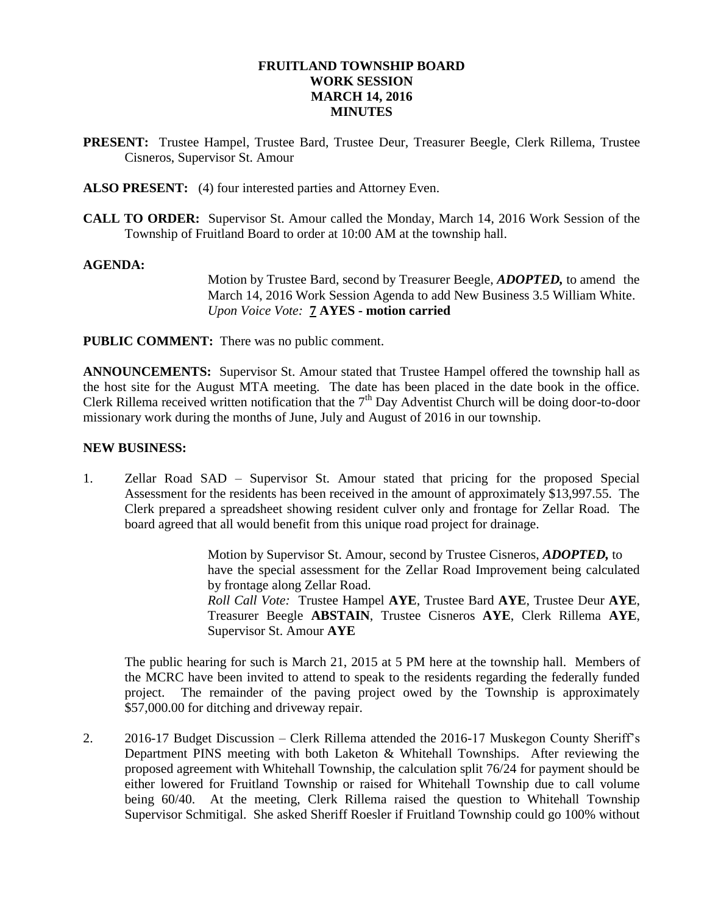### **FRUITLAND TOWNSHIP BOARD WORK SESSION MARCH 14, 2016 MINUTES**

- **PRESENT:** Trustee Hampel, Trustee Bard, Trustee Deur, Treasurer Beegle, Clerk Rillema, Trustee Cisneros, Supervisor St. Amour
- **ALSO PRESENT:** (4) four interested parties and Attorney Even.
- **CALL TO ORDER:** Supervisor St. Amour called the Monday, March 14, 2016 Work Session of the Township of Fruitland Board to order at 10:00 AM at the township hall.

#### **AGENDA:**

Motion by Trustee Bard, second by Treasurer Beegle, *ADOPTED,* to amend the March 14, 2016 Work Session Agenda to add New Business 3.5 William White. *Upon Voice Vote:* **7 AYES - motion carried**

**PUBLIC COMMENT:** There was no public comment.

**ANNOUNCEMENTS:** Supervisor St. Amour stated that Trustee Hampel offered the township hall as the host site for the August MTA meeting. The date has been placed in the date book in the office. Clerk Rillema received written notification that the  $7<sup>th</sup>$  Day Adventist Church will be doing door-to-door missionary work during the months of June, July and August of 2016 in our township.

#### **NEW BUSINESS:**

1. Zellar Road SAD – Supervisor St. Amour stated that pricing for the proposed Special Assessment for the residents has been received in the amount of approximately \$13,997.55. The Clerk prepared a spreadsheet showing resident culver only and frontage for Zellar Road. The board agreed that all would benefit from this unique road project for drainage.

> Motion by Supervisor St. Amour, second by Trustee Cisneros, *ADOPTED,* to have the special assessment for the Zellar Road Improvement being calculated by frontage along Zellar Road. *Roll Call Vote:* Trustee Hampel **AYE**, Trustee Bard **AYE**, Trustee Deur **AYE**, Treasurer Beegle **ABSTAIN**, Trustee Cisneros **AYE**, Clerk Rillema **AYE**, Supervisor St. Amour **AYE**

The public hearing for such is March 21, 2015 at 5 PM here at the township hall. Members of the MCRC have been invited to attend to speak to the residents regarding the federally funded project. The remainder of the paving project owed by the Township is approximately \$57,000.00 for ditching and driveway repair.

2. 2016-17 Budget Discussion – Clerk Rillema attended the 2016-17 Muskegon County Sheriff's Department PINS meeting with both Laketon & Whitehall Townships. After reviewing the proposed agreement with Whitehall Township, the calculation split 76/24 for payment should be either lowered for Fruitland Township or raised for Whitehall Township due to call volume being 60/40. At the meeting, Clerk Rillema raised the question to Whitehall Township Supervisor Schmitigal. She asked Sheriff Roesler if Fruitland Township could go 100% without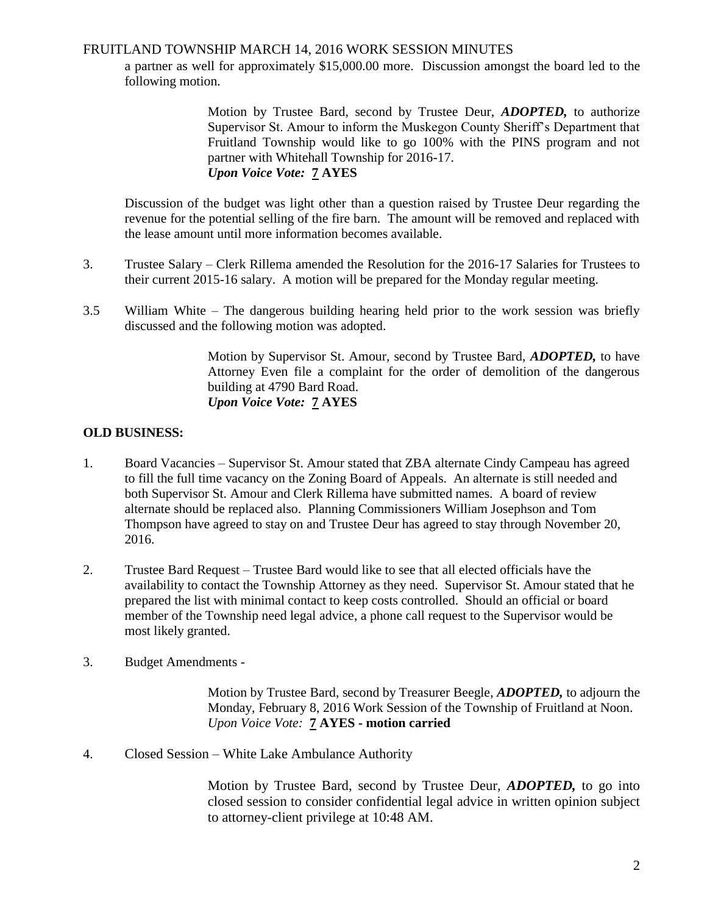## FRUITLAND TOWNSHIP MARCH 14, 2016 WORK SESSION MINUTES

a partner as well for approximately \$15,000.00 more. Discussion amongst the board led to the following motion.

> Motion by Trustee Bard, second by Trustee Deur, *ADOPTED,* to authorize Supervisor St. Amour to inform the Muskegon County Sheriff's Department that Fruitland Township would like to go 100% with the PINS program and not partner with Whitehall Township for 2016-17. *Upon Voice Vote:* **7 AYES**

Discussion of the budget was light other than a question raised by Trustee Deur regarding the revenue for the potential selling of the fire barn. The amount will be removed and replaced with the lease amount until more information becomes available.

- 3. Trustee Salary Clerk Rillema amended the Resolution for the 2016-17 Salaries for Trustees to their current 2015-16 salary. A motion will be prepared for the Monday regular meeting.
- 3.5 William White The dangerous building hearing held prior to the work session was briefly discussed and the following motion was adopted.

Motion by Supervisor St. Amour, second by Trustee Bard, *ADOPTED,* to have Attorney Even file a complaint for the order of demolition of the dangerous building at 4790 Bard Road. *Upon Voice Vote:* **7 AYES**

# **OLD BUSINESS:**

- 1. Board Vacancies Supervisor St. Amour stated that ZBA alternate Cindy Campeau has agreed to fill the full time vacancy on the Zoning Board of Appeals. An alternate is still needed and both Supervisor St. Amour and Clerk Rillema have submitted names. A board of review alternate should be replaced also. Planning Commissioners William Josephson and Tom Thompson have agreed to stay on and Trustee Deur has agreed to stay through November 20, 2016.
- 2. Trustee Bard Request Trustee Bard would like to see that all elected officials have the availability to contact the Township Attorney as they need. Supervisor St. Amour stated that he prepared the list with minimal contact to keep costs controlled. Should an official or board member of the Township need legal advice, a phone call request to the Supervisor would be most likely granted.
- 3. Budget Amendments -

Motion by Trustee Bard, second by Treasurer Beegle, *ADOPTED,* to adjourn the Monday, February 8, 2016 Work Session of the Township of Fruitland at Noon. *Upon Voice Vote:* **7 AYES - motion carried**

4. Closed Session – White Lake Ambulance Authority

Motion by Trustee Bard, second by Trustee Deur, *ADOPTED,* to go into closed session to consider confidential legal advice in written opinion subject to attorney-client privilege at 10:48 AM.